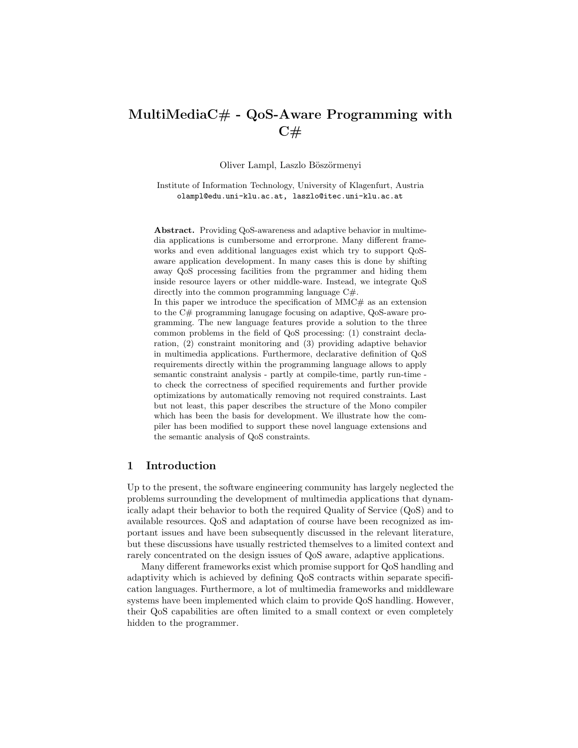# MultiMediaC# - QoS-Aware Programming with  $C#$

Oliver Lampl, Laszlo Böszörmenyi

Institute of Information Technology, University of Klagenfurt, Austria olampl@edu.uni-klu.ac.at, laszlo@itec.uni-klu.ac.at

Abstract. Providing QoS-awareness and adaptive behavior in multimedia applications is cumbersome and errorprone. Many different frameworks and even additional languages exist which try to support QoSaware application development. In many cases this is done by shifting away QoS processing facilities from the prgrammer and hiding them inside resource layers or other middle-ware. Instead, we integrate QoS directly into the common programming language C#.

In this paper we introduce the specification of  $MMC\#$  as an extension to the C# programming lanugage focusing on adaptive, QoS-aware programming. The new language features provide a solution to the three common problems in the field of QoS processing: (1) constraint declaration, (2) constraint monitoring and (3) providing adaptive behavior in multimedia applications. Furthermore, declarative definition of QoS requirements directly within the programming language allows to apply semantic constraint analysis - partly at compile-time, partly run-time to check the correctness of specified requirements and further provide optimizations by automatically removing not required constraints. Last but not least, this paper describes the structure of the Mono compiler which has been the basis for development. We illustrate how the compiler has been modified to support these novel language extensions and the semantic analysis of QoS constraints.

## 1 Introduction

Up to the present, the software engineering community has largely neglected the problems surrounding the development of multimedia applications that dynamically adapt their behavior to both the required Quality of Service (QoS) and to available resources. QoS and adaptation of course have been recognized as important issues and have been subsequently discussed in the relevant literature, but these discussions have usually restricted themselves to a limited context and rarely concentrated on the design issues of QoS aware, adaptive applications.

Many different frameworks exist which promise support for QoS handling and adaptivity which is achieved by defining QoS contracts within separate specification languages. Furthermore, a lot of multimedia frameworks and middleware systems have been implemented which claim to provide QoS handling. However, their QoS capabilities are often limited to a small context or even completely hidden to the programmer.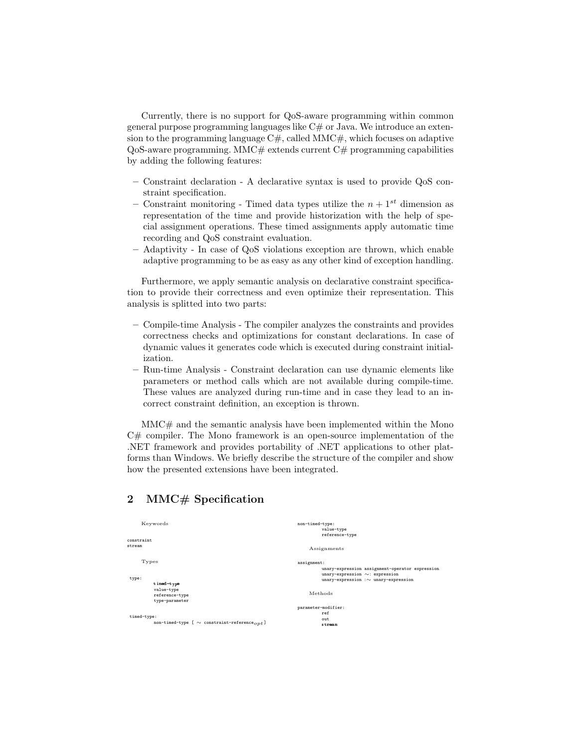Currently, there is no support for QoS-aware programming within common general purpose programming languages like  $C#$  or Java. We introduce an extension to the programming language  $C#$ , called MMC $#$ , which focuses on adaptive  $QoS$ -aware programming. MMC $#$  extends current  $C#$  programming capabilities by adding the following features:

- Constraint declaration A declarative syntax is used to provide QoS constraint specification.
- Constraint monitoring Timed data types utilize the  $n + 1^{st}$  dimension as representation of the time and provide historization with the help of special assignment operations. These timed assignments apply automatic time recording and QoS constraint evaluation.
- Adaptivity In case of QoS violations exception are thrown, which enable adaptive programming to be as easy as any other kind of exception handling.

Furthermore, we apply semantic analysis on declarative constraint specification to provide their correctness and even optimize their representation. This analysis is splitted into two parts:

- Compile-time Analysis The compiler analyzes the constraints and provides correctness checks and optimizations for constant declarations. In case of dynamic values it generates code which is executed during constraint initialization.
- Run-time Analysis Constraint declaration can use dynamic elements like parameters or method calls which are not available during compile-time. These values are analyzed during run-time and in case they lead to an incorrect constraint definition, an exception is thrown.

MMC# and the semantic analysis have been implemented within the Mono C# compiler. The Mono framework is an open-source implementation of the .NET framework and provides portability of .NET applications to other platforms than Windows. We briefly describe the structure of the compiler and show how the presented extensions have been integrated.

## 2 MMC# Specification

| Keywords                                                      | non-timed-type:                                 |
|---------------------------------------------------------------|-------------------------------------------------|
|                                                               | value-type                                      |
|                                                               | reference-type                                  |
| constraint                                                    |                                                 |
| stream                                                        | Assignments                                     |
| Types                                                         | assignment:                                     |
|                                                               | unary-expression assignment-operator expression |
|                                                               | unary-expression $\sim$ : expression            |
| type:<br>timed-type                                           | $unary-expression : \sim unary-expression$      |
| value-type                                                    |                                                 |
| reference-type                                                | Methods                                         |
| type-parameter                                                |                                                 |
|                                                               |                                                 |
|                                                               | parameter-modifier:                             |
| timed-type:                                                   | ref                                             |
| non-timed-type [ $\sim$ constraint-reference <sub>opt</sub> ] | out                                             |
|                                                               | stream                                          |
|                                                               |                                                 |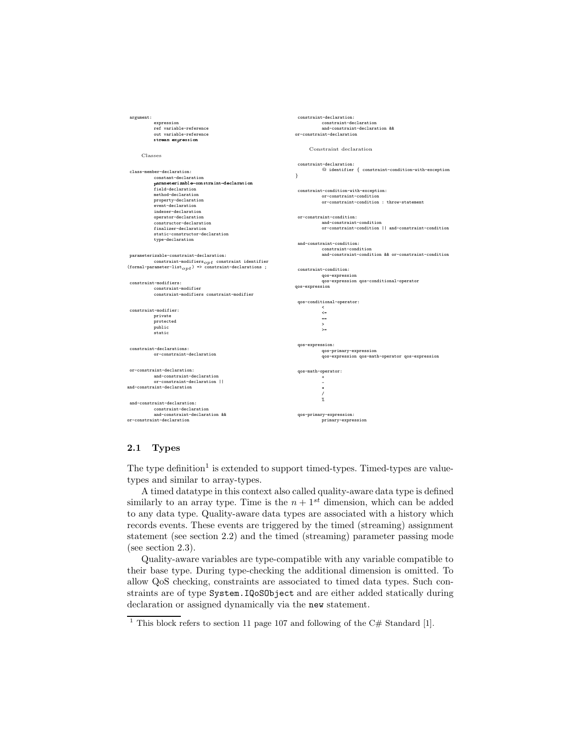```
argument:
            expression
            ref variable-reference
              out variable-reference
            stream expression
      Classes
 class-member-declaration:
            constant-declaration<br>parameterizable-constraint-declaration
             parameterizable-territon and alternation<br>field-declaration<br>method-declaration
            property-declaration
             event-declaration
            indexer-declaration
            operator-declaration
             constructor-declaration
            finalizer-declaration
             static-constructor-declaration
            type-declaration
 parameterizable-constraint-declaration:
{\rm constraint\text{-}modifiers}_{opt} \text{ constraint\text{-}identifier} (formal-parameter-list_{opt}) => constraint-declarations ;
 constraint-modifiers:
             constraint-modifier
            constraint-modifiers constraint-modifier
 constraint-modifier:
             private
protected
            public
            .<br>static
 constraint-declarations:
            or-constraint-declaration
 or-constraint-declaration:
             and-constraint-declaration
or-constraint-declaration ||
and-constraint-declaration
 and-constraint-declaration:
            constraint-declaration
            and-constraint-declaration &&
or-constraint-declaration
                                                                                constraint-declaration:
                                                                                            constraint-declaration
                                                                                             and-constraint-declaration &&
                                                                                or-constraint-declaration
                                                                                      Constraint declaration
                                                                                constraint-declaration:
                                                                                            @ identifier { constraint-condition-with-exception
                                                                               }
                                                                                constraint-condition-with-exception:
                                                                                             or-constraint-condition
or-constraint-condition : throw-statement
                                                                                or-constraint-condition:
                                                                                            and-constraint-condition
                                                                                            or-constraint-condition || and-constraint-condition
                                                                                and-constraint-condition:
                                                                                            constraint-condition
                                                                                            and-constraint-condition && or-constraint-condition
                                                                                constraint-condition:
                                                                                            qos-expression
                                                                                qos-expression qos-conditional-operator
qos-expression
                                                                                qos-conditional-operator:
                                                                                             \breve{~}\leftarrow==
                                                                                             >
>=
                                                                                qos-expression:
                                                                                             qos-primary-expression
qos-expression qos-math-operator qos-expression
                                                                                 qos-math-operator:
                                                                                             +
                                                                                             -
                                                                                             *
                                                                                             /
%
                                                                                qos-primary-expression:
                                                                                            primary-expression
```
## 2.1 Types

The type definition<sup>1</sup> is extended to support timed-types. Timed-types are valuetypes and similar to array-types.

A timed datatype in this context also called quality-aware data type is defined similarly to an array type. Time is the  $n + 1^{st}$  dimension, which can be added to any data type. Quality-aware data types are associated with a history which records events. These events are triggered by the timed (streaming) assignment statement (see section 2.2) and the timed (streaming) parameter passing mode (see section 2.3).

Quality-aware variables are type-compatible with any variable compatible to their base type. During type-checking the additional dimension is omitted. To allow QoS checking, constraints are associated to timed data types. Such constraints are of type System.IQoSObject and are either added statically during declaration or assigned dynamically via the new statement.

<sup>&</sup>lt;sup>1</sup> This block refers to section 11 page 107 and following of the C# Standard [1].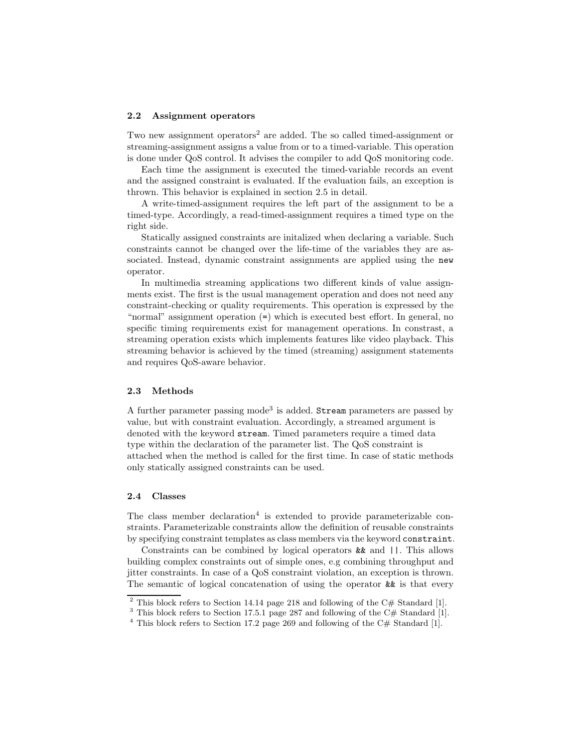### 2.2 Assignment operators

Two new assignment operators<sup>2</sup> are added. The so called timed-assignment or streaming-assignment assigns a value from or to a timed-variable. This operation is done under QoS control. It advises the compiler to add QoS monitoring code.

Each time the assignment is executed the timed-variable records an event and the assigned constraint is evaluated. If the evaluation fails, an exception is thrown. This behavior is explained in section 2.5 in detail.

A write-timed-assignment requires the left part of the assignment to be a timed-type. Accordingly, a read-timed-assignment requires a timed type on the right side.

Statically assigned constraints are initalized when declaring a variable. Such constraints cannot be changed over the life-time of the variables they are associated. Instead, dynamic constraint assignments are applied using the new operator.

In multimedia streaming applications two different kinds of value assignments exist. The first is the usual management operation and does not need any constraint-checking or quality requirements. This operation is expressed by the "normal" assignment operation (=) which is executed best effort. In general, no specific timing requirements exist for management operations. In constrast, a streaming operation exists which implements features like video playback. This streaming behavior is achieved by the timed (streaming) assignment statements and requires QoS-aware behavior.

### 2.3 Methods

A further parameter passing mode<sup>3</sup> is added. Stream parameters are passed by value, but with constraint evaluation. Accordingly, a streamed argument is denoted with the keyword stream. Timed parameters require a timed data type within the declaration of the parameter list. The QoS constraint is attached when the method is called for the first time. In case of static methods only statically assigned constraints can be used.

### 2.4 Classes

The class member declaration<sup>4</sup> is extended to provide parameterizable constraints. Parameterizable constraints allow the definition of reusable constraints by specifying constraint templates as class members via the keyword constraint.

Constraints can be combined by logical operators && and ||. This allows building complex constraints out of simple ones, e.g combining throughput and jitter constraints. In case of a QoS constraint violation, an exception is thrown. The semantic of logical concatenation of using the operator  $\&\&$  is that every

 $2$  This block refers to Section 14.14 page 218 and following of the C# Standard [1].

 $3$  This block refers to Section 17.5.1 page 287 and following of the C# Standard [1].

<sup>&</sup>lt;sup>4</sup> This block refers to Section 17.2 page 269 and following of the C# Standard [1].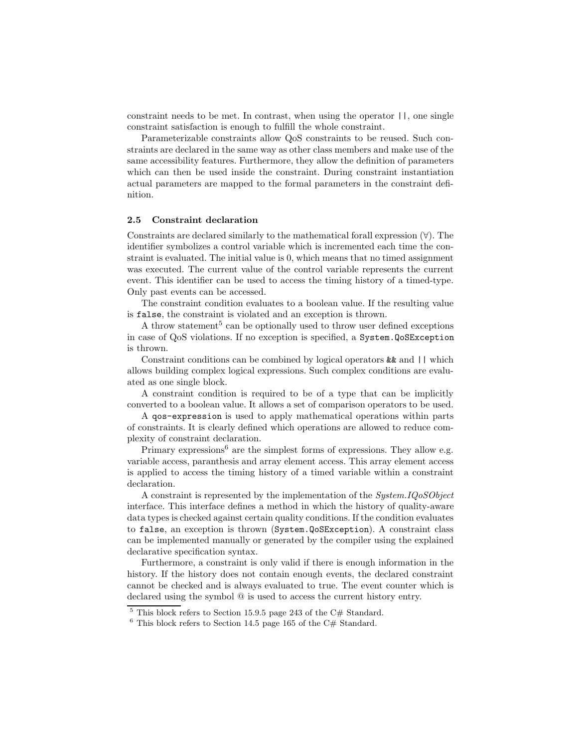constraint needs to be met. In contrast, when using the operator ||, one single constraint satisfaction is enough to fulfill the whole constraint.

Parameterizable constraints allow QoS constraints to be reused. Such constraints are declared in the same way as other class members and make use of the same accessibility features. Furthermore, they allow the definition of parameters which can then be used inside the constraint. During constraint instantiation actual parameters are mapped to the formal parameters in the constraint definition.

### 2.5 Constraint declaration

Constraints are declared similarly to the mathematical forall expression (∀). The identifier symbolizes a control variable which is incremented each time the constraint is evaluated. The initial value is 0, which means that no timed assignment was executed. The current value of the control variable represents the current event. This identifier can be used to access the timing history of a timed-type. Only past events can be accessed.

The constraint condition evaluates to a boolean value. If the resulting value is false, the constraint is violated and an exception is thrown.

A throw statement<sup>5</sup> can be optionally used to throw user defined exceptions in case of QoS violations. If no exception is specified, a System.QoSException is thrown.

Constraint conditions can be combined by logical operators  $\&$  and  $||$  which allows building complex logical expressions. Such complex conditions are evaluated as one single block.

A constraint condition is required to be of a type that can be implicitly converted to a boolean value. It allows a set of comparison operators to be used.

A qos-expression is used to apply mathematical operations within parts of constraints. It is clearly defined which operations are allowed to reduce complexity of constraint declaration.

Primary expressions $^6$  are the simplest forms of expressions. They allow e.g. variable access, paranthesis and array element access. This array element access is applied to access the timing history of a timed variable within a constraint declaration.

A constraint is represented by the implementation of the System. IQoSObject interface. This interface defines a method in which the history of quality-aware data types is checked against certain quality conditions. If the condition evaluates to false, an exception is thrown (System.QoSException). A constraint class can be implemented manually or generated by the compiler using the explained declarative specification syntax.

Furthermore, a constraint is only valid if there is enough information in the history. If the history does not contain enough events, the declared constraint cannot be checked and is always evaluated to true. The event counter which is declared using the symbol @ is used to access the current history entry.

 $5$  This block refers to Section 15.9.5 page 243 of the C# Standard.

 $6$  This block refers to Section 14.5 page 165 of the C# Standard.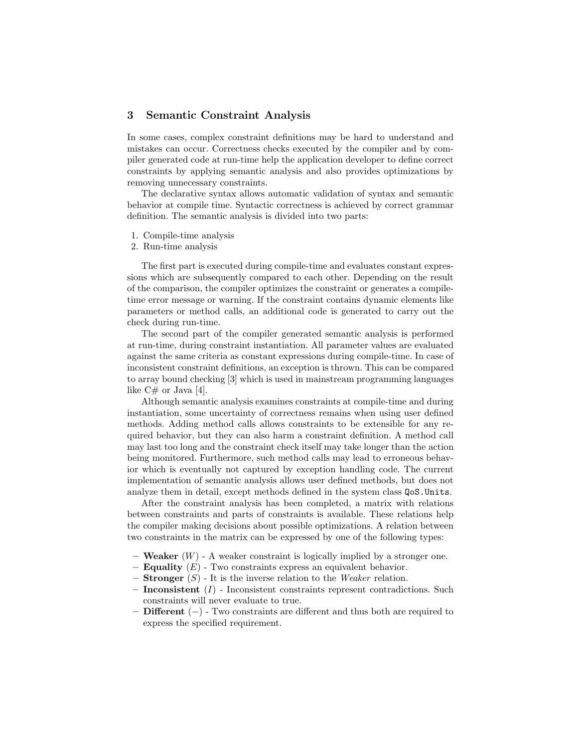## 3 Semantic Constraint Analysis

In some cases, complex constraint definitions may be hard to understand and mistakes can occur. Correctness checks executed by the compiler and by compiler generated code at run-time help the application developer to define correct constraints by applying semantic analysis and also provides optimizations by removing unnecessary constraints.

The declarative syntax allows automatic validation of syntax and semantic behavior at compile time. Syntactic correctness is achieved by correct grammar definition. The semantic analysis is divided into two parts:

- 1. Compile-time analysis
- 2. Run-time analysis

The first part is executed during compile-time and evaluates constant expressions which are subsequently compared to each other. Depending on the result of the comparison, the compiler optimizes the constraint or generates a compiletime error message or warning. If the constraint contains dynamic elements like parameters or method calls, an additional code is generated to carry out the check during run-time.

The second part of the compiler generated semantic analysis is performed at run-time, during constraint instantiation. All parameter values are evaluated against the same criteria as constant expressions during compile-time. In case of inconsistent constraint definitions, an exception is thrown. This can be compared to array bound checking [3] which is used in mainstream programming languages like  $C#$  or Java [4].

Although semantic analysis examines constraints at compile-time and during instantiation, some uncertainty of correctness remains when using user defined methods. Adding method calls allows constraints to be extensible for any required behavior, but they can also harm a constraint definition. A method call may last too long and the constraint check itself may take longer than the action being monitored. Furthermore, such method calls may lead to erroneous behavior which is eventually not captured by exception handling code. The current implementation of semantic analysis allows user defined methods, but does not analyze them in detail, except methods defined in the system class QoS.Units.

After the constraint analysis has been completed, a matrix with relations between constraints and parts of constraints is available. These relations help the compiler making decisions about possible optimizations. A relation between two constraints in the matrix can be expressed by one of the following types:

- **Weaker**  $(W)$  A weaker constraint is logically implied by a stronger one.
- **Equality**  $(E)$  Two constraints express an equivalent behavior.
- **Stronger**  $(S)$  It is the inverse relation to the *Weaker* relation.
- $-$  Inconsistent (I) Inconsistent constraints represent contradictions. Such constraints will never evaluate to true.
- Different (−) Two constraints are different and thus both are required to express the specified requirement.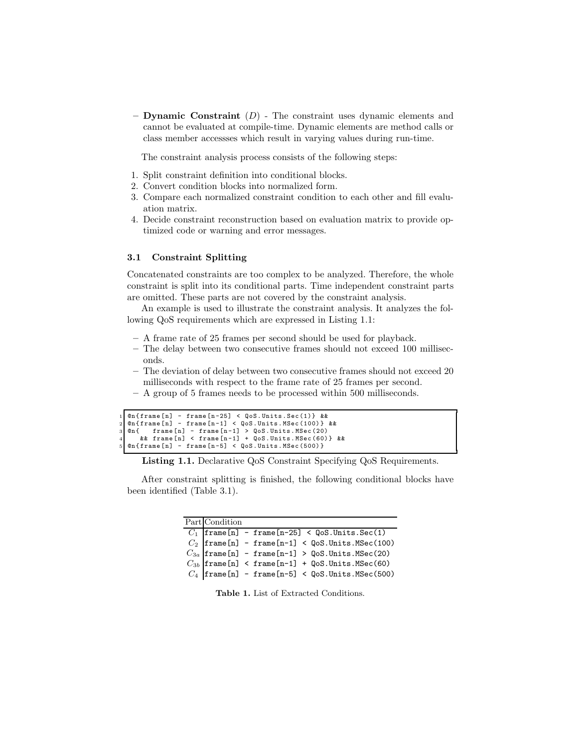– Dynamic Constraint  $(D)$  – The constraint uses dynamic elements and cannot be evaluated at compile-time. Dynamic elements are method calls or class member accessses which result in varying values during run-time.

The constraint analysis process consists of the following steps:

- 1. Split constraint definition into conditional blocks.
- 2. Convert condition blocks into normalized form.
- 3. Compare each normalized constraint condition to each other and fill evaluation matrix.
- 4. Decide constraint reconstruction based on evaluation matrix to provide optimized code or warning and error messages.

### 3.1 Constraint Splitting

Concatenated constraints are too complex to be analyzed. Therefore, the whole constraint is split into its conditional parts. Time independent constraint parts are omitted. These parts are not covered by the constraint analysis.

An example is used to illustrate the constraint analysis. It analyzes the following QoS requirements which are expressed in Listing 1.1:

- A frame rate of 25 frames per second should be used for playback.
- The delay between two consecutive frames should not exceed 100 milliseconds.
- The deviation of delay between two consecutive frames should not exceed 20 milliseconds with respect to the frame rate of 25 frames per second.
- A group of 5 frames needs to be processed within 500 milliseconds.

```
1 \alpha (frame [n] - frame [n-25] < QoS. Units. Sec (1) } & & 2 \alpha (frame [n] - frame [n-1] < QoS. Units. MSec (100) }
2 \alpha (frame [n] - frame [n-1] < QoS. Units . MSec (100) } & & \alpha of frame [n] - frame [n-1] > QoS. Units . MSec (20)
          \texttt{frame[n]} - frame [n-1] > QoS. Units. MSec (20)
        && frame [n] < frame [n-1] + QoS. Units. MSec (60) } &&
   @n{ frame[n]} - frame[n-5] < QoS. Units. MSec (500) }
```
Listing 1.1. Declarative QoS Constraint Specifying QoS Requirements.

After constraint splitting is finished, the following conditional blocks have been identified (Table 3.1).

| Part Condition |  |                                                                                                                                                                                                                                                                                                                                    |
|----------------|--|------------------------------------------------------------------------------------------------------------------------------------------------------------------------------------------------------------------------------------------------------------------------------------------------------------------------------------|
|                |  |                                                                                                                                                                                                                                                                                                                                    |
|                |  |                                                                                                                                                                                                                                                                                                                                    |
|                |  |                                                                                                                                                                                                                                                                                                                                    |
|                |  |                                                                                                                                                                                                                                                                                                                                    |
|                |  | $\begin{tabular}{ll} $C_1$ & frame[n] - frame[n-25] < QoS. Units. Sec(1) \\ $C_2$ & frame[n] - frame[n-1] < QoS. Units. MSec(100) \\ $C_{3a}$ & frame[n] - frame[n-1] > QoS. Units. MSec(20) \\ $C_{3b}$ & frame[n] < frame[n-1] + QoS. Units. MSec(60) \\ $C_4$ & frame[n] - frame[n-5] < QoS. Units. MSec(500) \\ \end{tabular}$ |
|                |  |                                                                                                                                                                                                                                                                                                                                    |

Table 1. List of Extracted Conditions.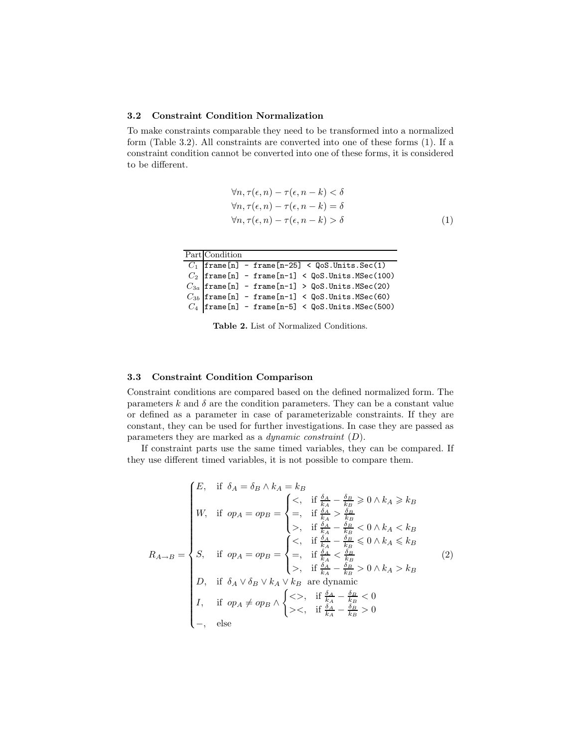### 3.2 Constraint Condition Normalization

To make constraints comparable they need to be transformed into a normalized form (Table 3.2). All constraints are converted into one of these forms (1). If a constraint condition cannot be converted into one of these forms, it is considered to be different.

$$
\forall n, \tau(\epsilon, n) - \tau(\epsilon, n - k) < \delta
$$
\n
$$
\forall n, \tau(\epsilon, n) - \tau(\epsilon, n - k) = \delta
$$
\n
$$
\forall n, \tau(\epsilon, n) - \tau(\epsilon, n - k) > \delta
$$
\n
$$
(1)
$$

Part Condition

|  |  | $C_1$ frame[n] - frame[n-25] < QoS.Units.Sec(1)<br>$C_2$ frame[n] - frame[n-1] < QoS.Units.MSec(100)<br>$C_{3a}$ frame[n] - frame[n-1] > QoS.Units.MSec(20)<br>$C_{3b}$ frame[n] - frame[n-1] < QoS.Units.MSec(60)<br>$C_4$ frame[n] - |
|--|--|----------------------------------------------------------------------------------------------------------------------------------------------------------------------------------------------------------------------------------------|
|  |  |                                                                                                                                                                                                                                        |
|  |  |                                                                                                                                                                                                                                        |
|  |  |                                                                                                                                                                                                                                        |

Table 2. List of Normalized Conditions.

### 3.3 Constraint Condition Comparison

Constraint conditions are compared based on the defined normalized form. The parameters k and  $\delta$  are the condition parameters. They can be a constant value or defined as a parameter in case of parameterizable constraints. If they are constant, they can be used for further investigations. In case they are passed as parameters they are marked as a *dynamic constraint*  $(D)$ .

If constraint parts use the same timed variables, they can be compared. If they use different timed variables, it is not possible to compare them.

$$
R_{A\rightarrow B} = \begin{cases} E, & \text{if } \delta_A = \delta_B \land k_A = k_B \\ W, & \text{if } op_A = op_B = \begin{cases} <, \quad \text{if } \frac{\delta_A}{k_A} - \frac{\delta_B}{k_B} \geq 0 \land k_A \geq k_B \\ =, \quad \text{if } \frac{\delta_A}{k_A} > \frac{\delta_B}{k_B} \\ >, \quad \text{if } \frac{\delta_A}{k_A} - \frac{\delta_B}{k_B} < 0 \land k_A < k_B \end{cases} \\ S, & \text{if } op_A = op_B = \begin{cases} <, \quad \text{if } \frac{\delta_A}{k_A} - \frac{\delta_B}{k_B} \leq 0 \land k_A \leq k_B \\ =, \quad \text{if } \frac{\delta_A}{k_A} - \frac{\delta_B}{k_B} \leq 0 \land k_A \leq k_B \\ >, \quad \text{if } \frac{\delta_A}{k_A} - \frac{\delta_B}{k_B} > 0 \land k_A > k_B \end{cases} \\ D, & \text{if } \delta_A \lor \delta_B \lor k_A \lor k_B \text{ are dynamic} \\ I, & \text{if } op_A \neq op_B \land \begin{cases} <>, \quad \text{if } \frac{\delta_A}{k_A} - \frac{\delta_B}{k_B} < 0 \\ > <, \quad \text{if } \frac{\delta_A}{k_A} - \frac{\delta_B}{k_B} > 0 \\ > <, \quad \text{if } \frac{\delta_A}{k_A} - \frac{\delta_B}{k_B} > 0 \end{cases} \end{cases}
$$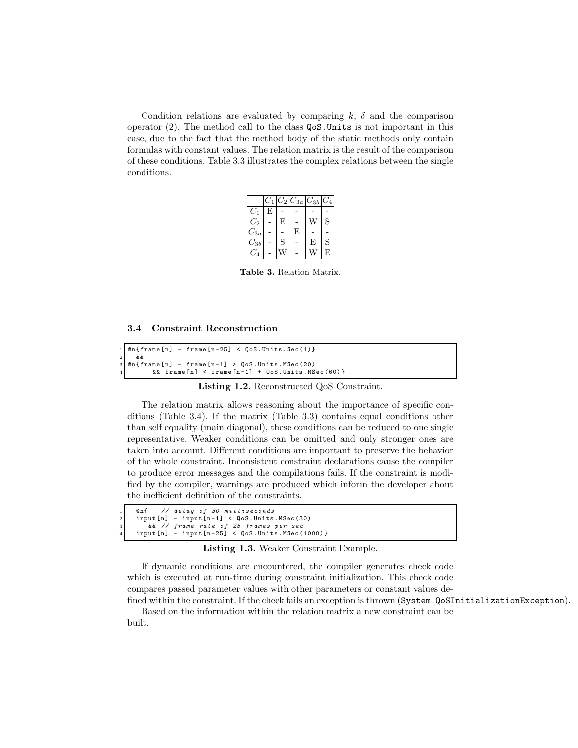Condition relations are evaluated by comparing k,  $\delta$  and the comparison operator  $(2)$ . The method call to the class  $\text{QoS}.$  Units is not important in this case, due to the fact that the method body of the static methods only contain formulas with constant values. The relation matrix is the result of the comparison of these conditions. Table 3.3 illustrates the complex relations between the single conditions.

|                     | $C_1$ |   | $C_2$ $C_{3a}$ | $C_{3b}$ | $C_4$ |
|---------------------|-------|---|----------------|----------|-------|
| $C_1$               | F,    |   |                |          |       |
| $C_{2}$             |       | Е |                |          | S     |
| $C_{3a}$            |       |   | E              |          |       |
| $C_{3b}$            |       | S |                | E        | S     |
| $\scriptstyle{C_4}$ |       |   |                |          | E     |

Table 3. Relation Matrix.

| 3.4 Constraint Reconstruction |  |
|-------------------------------|--|
|-------------------------------|--|

```
@n{ frame[n] - frame[n-25]} < QoS. Units. Sec(1)}
2 &&
  @n{ frame[n] - frame[n-1]} > QoS. Units. MSec (20)
         \&\&\text{ frame }[n] \leq frame[n-1] + QoS. Units. MSec(60) }
```
Listing 1.2. Reconstructed QoS Constraint.

The relation matrix allows reasoning about the importance of specific conditions (Table 3.4). If the matrix (Table 3.3) contains equal conditions other than self equality (main diagonal), these conditions can be reduced to one single representative. Weaker conditions can be omitted and only stronger ones are taken into account. Different conditions are important to preserve the behavior of the whole constraint. Inconsistent constraint declarations cause the compiler to produce error messages and the compilations fails. If the constraint is modified by the compiler, warnings are produced which inform the developer about the inefficient definition of the constraints.

| 1 Cn{ // delay of 30 milliseconds                                                                      |
|--------------------------------------------------------------------------------------------------------|
|                                                                                                        |
| 3 8 a 1/ frame rate of 25 frames per sec                                                               |
| 4 $\mid$ input $\lceil n \rceil$ - input $\lceil n - 25 \rceil$ < $\mid \mid$ oS. Units. MSec (1000) } |
|                                                                                                        |

Listing 1.3. Weaker Constraint Example.

If dynamic conditions are encountered, the compiler generates check code which is executed at run-time during constraint initialization. This check code compares passed parameter values with other parameters or constant values defined within the constraint. If the check fails an exception is thrown (System.QoSInitializationException).

Based on the information within the relation matrix a new constraint can be built.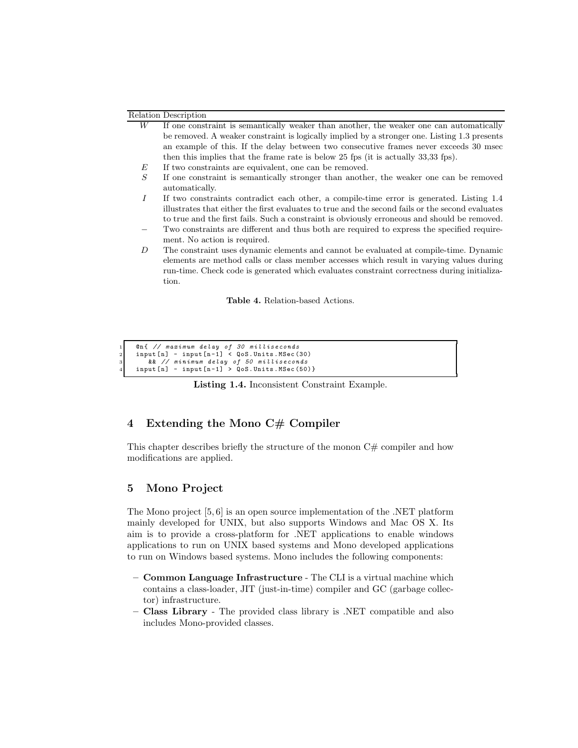#### Relation Description

- W If one constraint is semantically weaker than another, the weaker one can automatically be removed. A weaker constraint is logically implied by a stronger one. Listing 1.3 presents an example of this. If the delay between two consecutive frames never exceeds 30 msec then this implies that the frame rate is below 25 fps (it is actually 33,33 fps).
- $E$  If two constraints are equivalent, one can be removed.
- S If one constraint is semantically stronger than another, the weaker one can be removed automatically.
- I If two constraints contradict each other, a compile-time error is generated. Listing 1.4 illustrates that either the first evaluates to true and the second fails or the second evaluates to true and the first fails. Such a constraint is obviously erroneous and should be removed.
- Two constraints are different and thus both are required to express the specified requirement. No action is required.
- D The constraint uses dynamic elements and cannot be evaluated at compile-time. Dynamic elements are method calls or class member accesses which result in varying values during run-time. Check code is generated which evaluates constraint correctness during initialization.

Table 4. Relation-based Actions.

```
1 @n { // m a x i m u m delay of 30 m i l l i s e c o n d s
2 input [ n] - input [n -1] < QoS . Units . MSec (30)
```
 $\begin{array}{lll} 3 & \text{&\&}\end{array} \begin{array}{lll} \text{with}\quad \text{if}\quad \text{if}\quad \text{if}\quad \text{if}\quad \text{if}\quad \text{if}\quad \text{if}\quad \text{if}\quad \text{if}\quad \text{if}\quad \text{if}\quad \text{if}\quad \text{if}\quad \text{if}\quad \text{if}\quad \text{if}\quad \text{if}\quad \text{if}\quad \text{if}\quad \text{if}\quad \text{if}\quad \text{if}\quad \text{if}\quad \text{if}\quad \text{if}\quad \text{if}\quad \text{if}\quad \text{if}\quad \text{if}\quad \text{if}\quad \text{if}\$ 

Listing 1.4. Inconsistent Constraint Example.

## 4 Extending the Mono C# Compiler

This chapter describes briefly the structure of the monon  $C#$  compiler and how modifications are applied.

## 5 Mono Project

The Mono project  $[5, 6]$  is an open source implementation of the .NET platform mainly developed for UNIX, but also supports Windows and Mac OS X. Its aim is to provide a cross-platform for .NET applications to enable windows applications to run on UNIX based systems and Mono developed applications to run on Windows based systems. Mono includes the following components:

- Common Language Infrastructure The CLI is a virtual machine which contains a class-loader, JIT (just-in-time) compiler and GC (garbage collector) infrastructure.
- Class Library The provided class library is .NET compatible and also includes Mono-provided classes.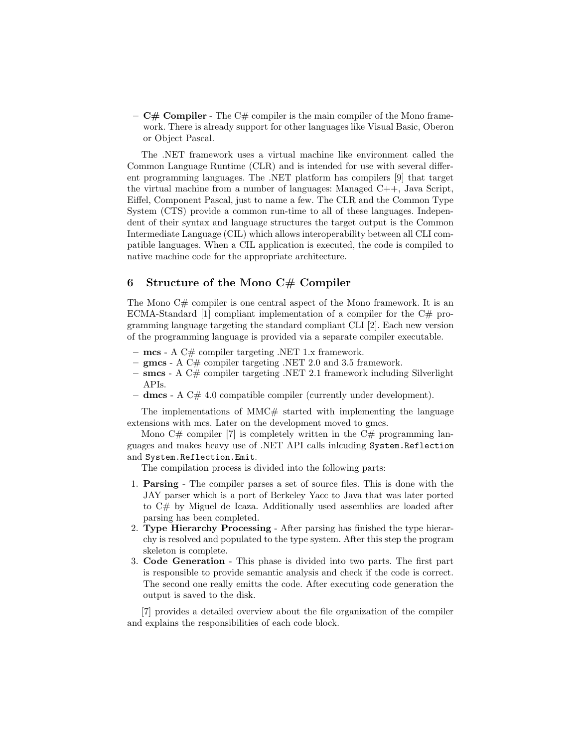$-$  **C**# **Compiler** - The C# compiler is the main compiler of the Mono framework. There is already support for other languages like Visual Basic, Oberon or Object Pascal.

The .NET framework uses a virtual machine like environment called the Common Language Runtime (CLR) and is intended for use with several different programming languages. The .NET platform has compilers [9] that target the virtual machine from a number of languages: Managed C++, Java Script, Eiffel, Component Pascal, just to name a few. The CLR and the Common Type System (CTS) provide a common run-time to all of these languages. Independent of their syntax and language structures the target output is the Common Intermediate Language (CIL) which allows interoperability between all CLI compatible languages. When a CIL application is executed, the code is compiled to native machine code for the appropriate architecture.

## 6 Structure of the Mono  $C#$  Compiler

The Mono  $C\#$  compiler is one central aspect of the Mono framework. It is an ECMA-Standard [1] compliant implementation of a compiler for the  $C#$  programming language targeting the standard compliant CLI [2]. Each new version of the programming language is provided via a separate compiler executable.

- $mcs$  A C# compiler targeting .NET 1.x framework.
- $\mathbf{gmcs}$  A  $\ddot{C#}$  compiler targeting .NET 2.0 and 3.5 framework.
- $-$  smcs A C# compiler targeting .NET 2.1 framework including Silverlight APIs.
- $-$  dmcs A C# 4.0 compatible compiler (currently under development).

The implementations of  $MMC \#$  started with implementing the language extensions with mcs. Later on the development moved to gmcs.

Mono  $C#$  compiler [7] is completely written in the  $C#$  programming languages and makes heavy use of .NET API calls inlcuding System.Reflection and System.Reflection.Emit.

The compilation process is divided into the following parts:

- 1. Parsing The compiler parses a set of source files. This is done with the JAY parser which is a port of Berkeley Yacc to Java that was later ported to C# by Miguel de Icaza. Additionally used assemblies are loaded after parsing has been completed.
- 2. Type Hierarchy Processing After parsing has finished the type hierarchy is resolved and populated to the type system. After this step the program skeleton is complete.
- 3. Code Generation This phase is divided into two parts. The first part is responsible to provide semantic analysis and check if the code is correct. The second one really emitts the code. After executing code generation the output is saved to the disk.

[7] provides a detailed overview about the file organization of the compiler and explains the responsibilities of each code block.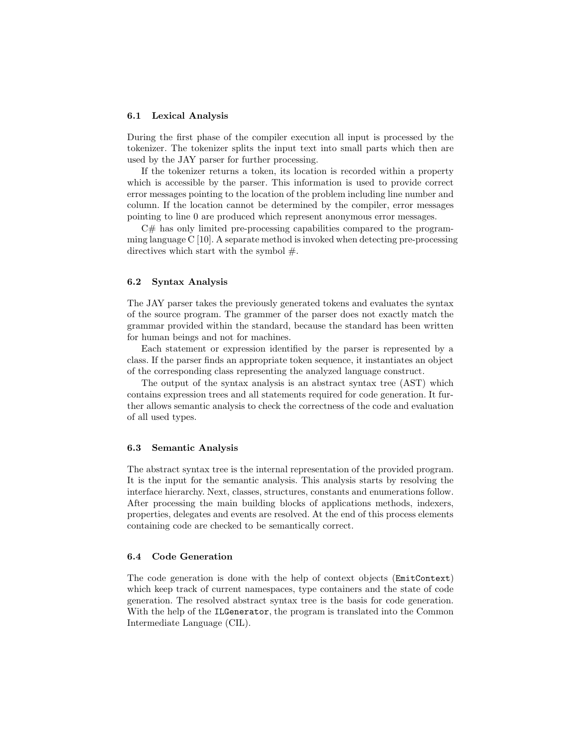### 6.1 Lexical Analysis

During the first phase of the compiler execution all input is processed by the tokenizer. The tokenizer splits the input text into small parts which then are used by the JAY parser for further processing.

If the tokenizer returns a token, its location is recorded within a property which is accessible by the parser. This information is used to provide correct error messages pointing to the location of the problem including line number and column. If the location cannot be determined by the compiler, error messages pointing to line 0 are produced which represent anonymous error messages.

C# has only limited pre-processing capabilities compared to the programming language C [10]. A separate method is invoked when detecting pre-processing directives which start with the symbol  $#$ .

### 6.2 Syntax Analysis

The JAY parser takes the previously generated tokens and evaluates the syntax of the source program. The grammer of the parser does not exactly match the grammar provided within the standard, because the standard has been written for human beings and not for machines.

Each statement or expression identified by the parser is represented by a class. If the parser finds an appropriate token sequence, it instantiates an object of the corresponding class representing the analyzed language construct.

The output of the syntax analysis is an abstract syntax tree (AST) which contains expression trees and all statements required for code generation. It further allows semantic analysis to check the correctness of the code and evaluation of all used types.

#### 6.3 Semantic Analysis

The abstract syntax tree is the internal representation of the provided program. It is the input for the semantic analysis. This analysis starts by resolving the interface hierarchy. Next, classes, structures, constants and enumerations follow. After processing the main building blocks of applications methods, indexers, properties, delegates and events are resolved. At the end of this process elements containing code are checked to be semantically correct.

## 6.4 Code Generation

The code generation is done with the help of context objects (EmitContext) which keep track of current namespaces, type containers and the state of code generation. The resolved abstract syntax tree is the basis for code generation. With the help of the ILGenerator, the program is translated into the Common Intermediate Language (CIL).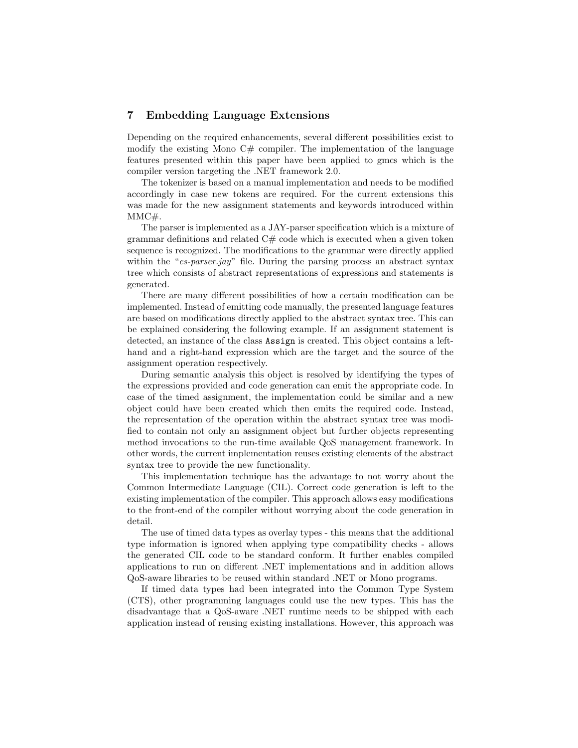## 7 Embedding Language Extensions

Depending on the required enhancements, several different possibilities exist to modify the existing Mono  $C#$  compiler. The implementation of the language features presented within this paper have been applied to gmcs which is the compiler version targeting the .NET framework 2.0.

The tokenizer is based on a manual implementation and needs to be modified accordingly in case new tokens are required. For the current extensions this was made for the new assignment statements and keywords introduced within MMC#.

The parser is implemented as a JAY-parser specification which is a mixture of grammar definitions and related  $C#$  code which is executed when a given token sequence is recognized. The modifications to the grammar were directly applied within the "cs-parser.jay" file. During the parsing process an abstract syntax tree which consists of abstract representations of expressions and statements is generated.

There are many different possibilities of how a certain modification can be implemented. Instead of emitting code manually, the presented language features are based on modifications directly applied to the abstract syntax tree. This can be explained considering the following example. If an assignment statement is detected, an instance of the class Assign is created. This object contains a lefthand and a right-hand expression which are the target and the source of the assignment operation respectively.

During semantic analysis this object is resolved by identifying the types of the expressions provided and code generation can emit the appropriate code. In case of the timed assignment, the implementation could be similar and a new object could have been created which then emits the required code. Instead, the representation of the operation within the abstract syntax tree was modified to contain not only an assignment object but further objects representing method invocations to the run-time available QoS management framework. In other words, the current implementation reuses existing elements of the abstract syntax tree to provide the new functionality.

This implementation technique has the advantage to not worry about the Common Intermediate Language (CIL). Correct code generation is left to the existing implementation of the compiler. This approach allows easy modifications to the front-end of the compiler without worrying about the code generation in detail.

The use of timed data types as overlay types - this means that the additional type information is ignored when applying type compatibility checks - allows the generated CIL code to be standard conform. It further enables compiled applications to run on different .NET implementations and in addition allows QoS-aware libraries to be reused within standard .NET or Mono programs.

If timed data types had been integrated into the Common Type System (CTS), other programming languages could use the new types. This has the disadvantage that a QoS-aware .NET runtime needs to be shipped with each application instead of reusing existing installations. However, this approach was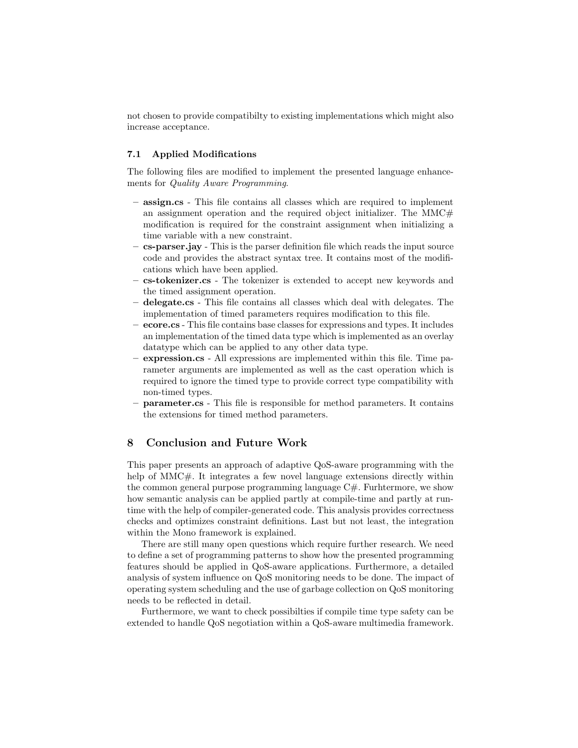not chosen to provide compatibilty to existing implementations which might also increase acceptance.

### 7.1 Applied Modifications

The following files are modified to implement the presented language enhancements for Quality Aware Programming.

- assign.cs This file contains all classes which are required to implement an assignment operation and the required object initializer. The  $MMC#$ modification is required for the constraint assignment when initializing a time variable with a new constraint.
- cs-parser.jay This is the parser definition file which reads the input source code and provides the abstract syntax tree. It contains most of the modifications which have been applied.
- cs-tokenizer.cs The tokenizer is extended to accept new keywords and the timed assignment operation.
- delegate.cs This file contains all classes which deal with delegates. The implementation of timed parameters requires modification to this file.
- ecore.cs This file contains base classes for expressions and types. It includes an implementation of the timed data type which is implemented as an overlay datatype which can be applied to any other data type.
- expression.cs All expressions are implemented within this file. Time parameter arguments are implemented as well as the cast operation which is required to ignore the timed type to provide correct type compatibility with non-timed types.
- parameter.cs This file is responsible for method parameters. It contains the extensions for timed method parameters.

## 8 Conclusion and Future Work

This paper presents an approach of adaptive QoS-aware programming with the help of MMC#. It integrates a few novel language extensions directly within the common general purpose programming language  $C#$ . Furhtermore, we show how semantic analysis can be applied partly at compile-time and partly at runtime with the help of compiler-generated code. This analysis provides correctness checks and optimizes constraint definitions. Last but not least, the integration within the Mono framework is explained.

There are still many open questions which require further research. We need to define a set of programming patterns to show how the presented programming features should be applied in QoS-aware applications. Furthermore, a detailed analysis of system influence on QoS monitoring needs to be done. The impact of operating system scheduling and the use of garbage collection on QoS monitoring needs to be reflected in detail.

Furthermore, we want to check possibilties if compile time type safety can be extended to handle QoS negotiation within a QoS-aware multimedia framework.